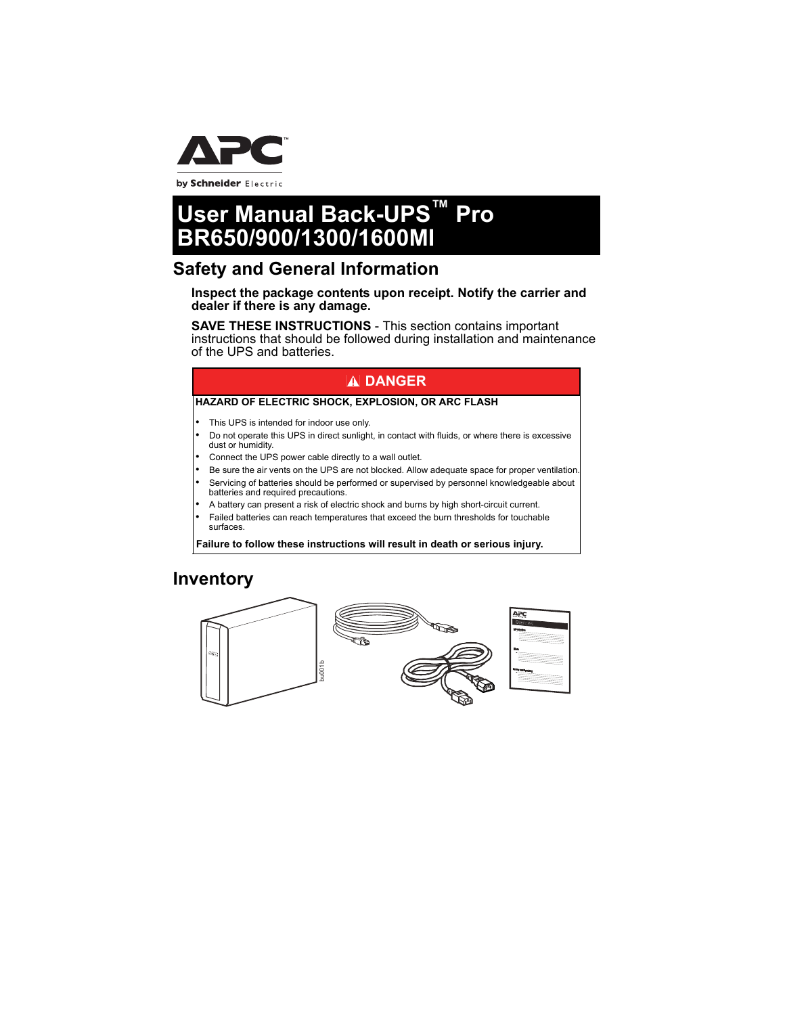

by Schneider Electric

# **User Manual Back-UPS™ Pro BR650/900/1300/1600MI**

### **Safety and General Information**

**Inspect the package contents upon receipt. Notify the carrier and dealer if there is any damage.**

**SAVE THESE INSTRUCTIONS** - This section contains important instructions that should be followed during installation and maintenance of the UPS and batteries.

### **DANGER**

#### **HAZARD OF ELECTRIC SHOCK, EXPLOSION, OR ARC FLASH**

- This UPS is intended for indoor use only.
- Do not operate this UPS in direct sunlight, in contact with fluids, or where there is excessive dust or humidity.
- Connect the UPS power cable directly to a wall outlet.
- Be sure the air vents on the UPS are not blocked. Allow adequate space for proper ventilation.
- Servicing of batteries should be performed or supervised by personnel knowledgeable about batteries and required precautions.
- A battery can present a risk of electric shock and burns by high short-circuit current.
- Failed batteries can reach temperatures that exceed the burn thresholds for touchable surfaces.

**Failure to follow these instructions will result in death or serious injury.**

### **Inventory**

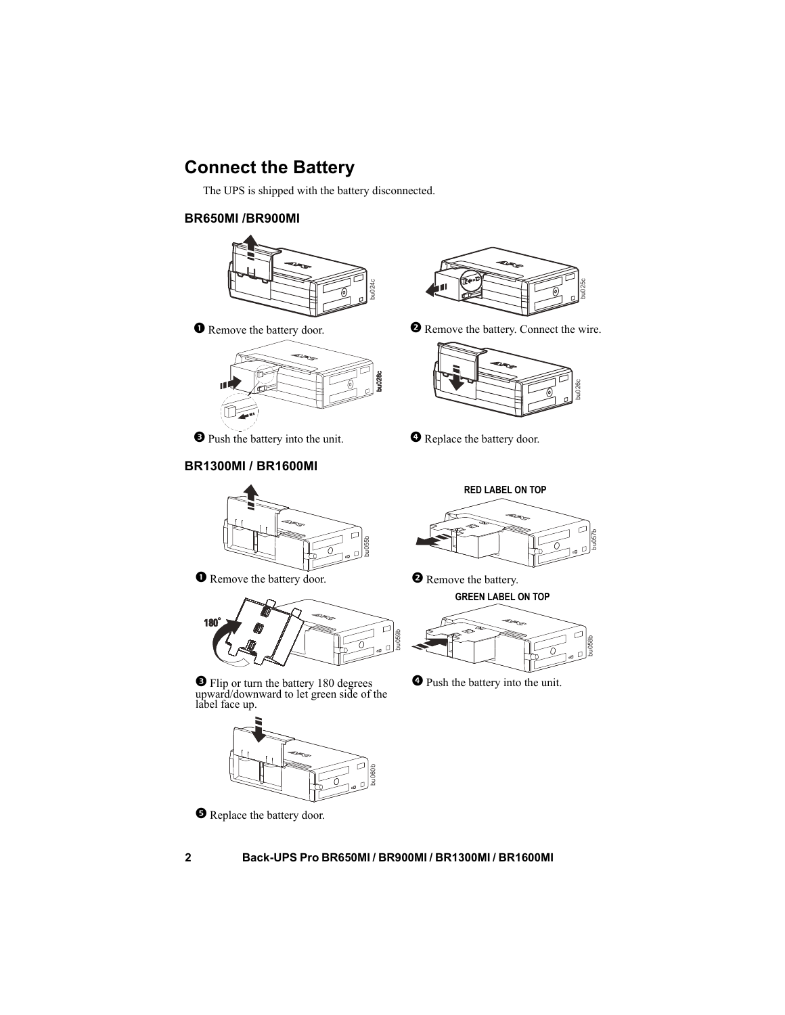# **Connect the Battery**

The UPS is shipped with the battery disconnected.

### **BR650MI /BR900MI**





**O** Push the battery into the unit. **C** Replace the battery door.

### **BR1300MI / BR1600MI**



**O** Remove the battery door. **2** Remove the battery.



 Flip or turn the battery 180 degrees upward/downward to let green side of the label face up.



**O** Replace the battery door.



**O** Remove the battery door. **C** Remove the battery. Connect the wire.



bu057b

**RED LABEL ON TOP**

**GREEN LABEL ON TOP**



Push the battery into the unit.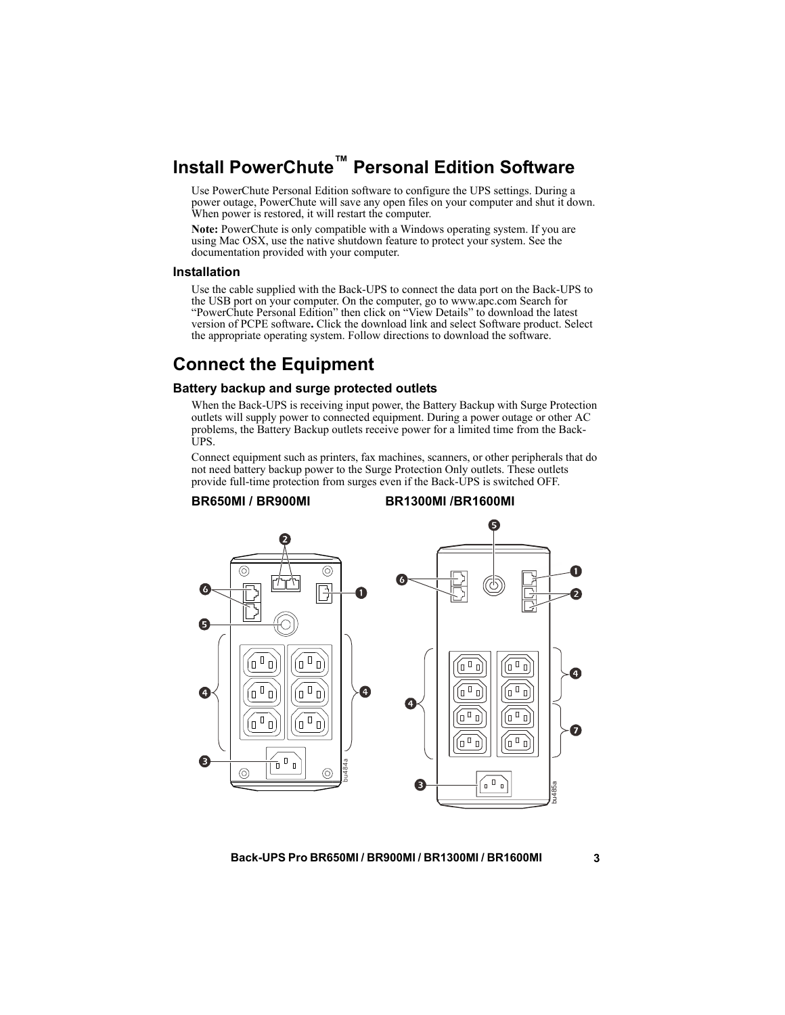# **Install PowerChute™ Personal Edition Software**

Use PowerChute Personal Edition software to configure the UPS settings. During a power outage, PowerChute will save any open files on your computer and shut it down. When power is restored, it will restart the computer.

**Note:** PowerChute is only compatible with a Windows operating system. If you are using Mac OSX, use the native shutdown feature to protect your system. See the documentation provided with your computer.

#### **Installation**

Use the cable supplied with the Back-UPS to connect the data port on the Back-UPS to the USB port on your computer. On the computer, go to www.apc.com Search for "PowerChute Personal Edition" then click on "View Details" to download the latest version of PCPE software**.** Click the download link and select Software product. Select the appropriate operating system. Follow directions to download the software.

### **Connect the Equipment**

#### **Battery backup and surge protected outlets**

When the Back-UPS is receiving input power, the Battery Backup with Surge Protection outlets will supply power to connected equipment. During a power outage or other AC problems, the Battery Backup outlets receive power for a limited time from the Back-UPS.

Connect equipment such as printers, fax machines, scanners, or other peripherals that do not need battery backup power to the Surge Protection Only outlets. These outlets provide full-time protection from surges even if the Back-UPS is switched OFF.

#### **BR650MI / BR900MI BR1300MI /BR1600MI**

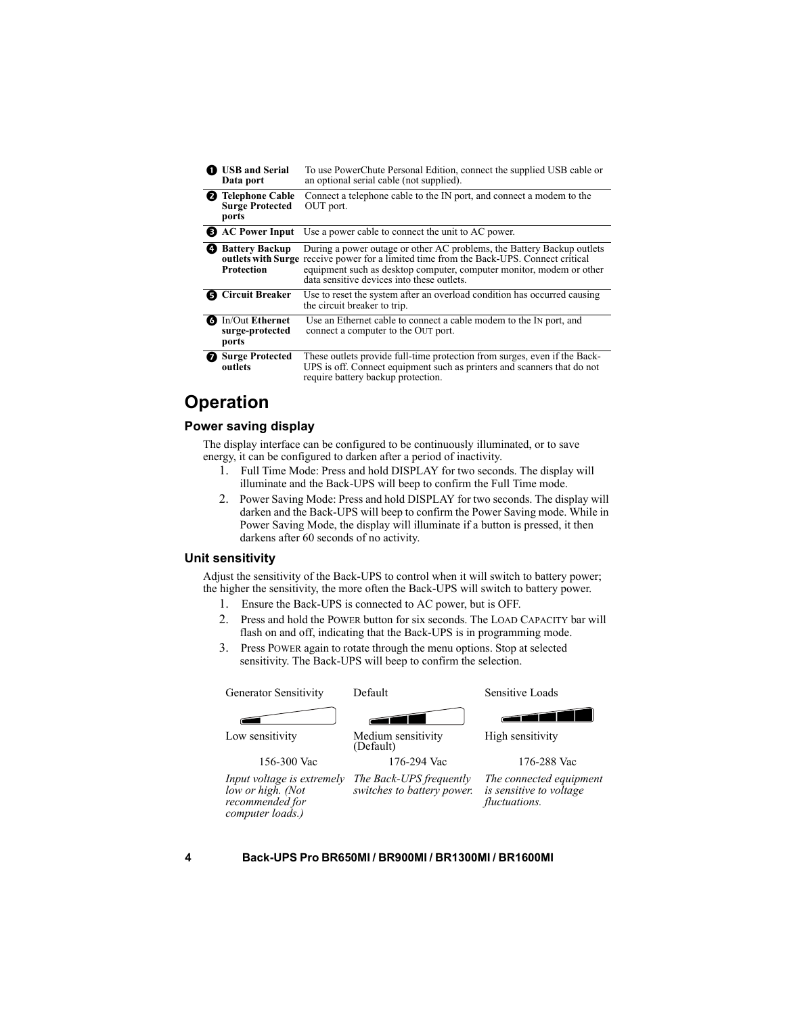|           | <b>USB</b> and Serial<br>Data port                          | To use PowerChute Personal Edition, connect the supplied USB cable or<br>an optional serial cable (not supplied).                                                                                                                                                                              |  |  |  |
|-----------|-------------------------------------------------------------|------------------------------------------------------------------------------------------------------------------------------------------------------------------------------------------------------------------------------------------------------------------------------------------------|--|--|--|
|           | <b>2</b> Telephone Cable<br><b>Surge Protected</b><br>ports | Connect a telephone cable to the IN port, and connect a modem to the<br>OUT port.                                                                                                                                                                                                              |  |  |  |
|           |                                                             | <b>EXECUTE:</b> AC Power Input Use a power cable to connect the unit to AC power.                                                                                                                                                                                                              |  |  |  |
| $\bullet$ | <b>Battery Backup</b><br>Protection                         | During a power outage or other AC problems, the Battery Backup outlets<br><b>outlets with Surge</b> receive power for a limited time from the Back-UPS. Connect critical<br>equipment such as desktop computer, computer monitor, modem or other<br>data sensitive devices into these outlets. |  |  |  |
|           | <b>6</b> Circuit Breaker                                    | Use to reset the system after an overload condition has occurred causing<br>the circuit breaker to trip.                                                                                                                                                                                       |  |  |  |
|           | <b>6</b> In/Out Ethernet<br>surge-protected<br>ports        | Use an Ethernet cable to connect a cable modem to the IN port, and<br>connect a computer to the OUT port.                                                                                                                                                                                      |  |  |  |
|           | <b>Surge Protected</b><br>outlets                           | These outlets provide full-time protection from surges, even if the Back-<br>UPS is off. Connect equipment such as printers and scanners that do not<br>require battery backup protection.                                                                                                     |  |  |  |

### **Operation**

#### **Power saving display**

The display interface can be configured to be continuously illuminated, or to save energy, it can be configured to darken after a period of inactivity.

- 1. Full Time Mode: Press and hold DISPLAY for two seconds. The display will illuminate and the Back-UPS will beep to confirm the Full Time mode.
- 2. Power Saving Mode: Press and hold DISPLAY for two seconds. The display will darken and the Back-UPS will beep to confirm the Power Saving mode. While in Power Saving Mode, the display will illuminate if a button is pressed, it then darkens after 60 seconds of no activity.

#### <span id="page-3-0"></span>**Unit sensitivity**

Adjust the sensitivity of the Back-UPS to control when it will switch to battery power; the higher the sensitivity, the more often the Back-UPS will switch to battery power.

- 1. Ensure the Back-UPS is connected to AC power, but is OFF.
- 2. Press and hold the POWER button for six seconds. The LOAD CAPACITY bar will flash on and off, indicating that the Back-UPS is in programming mode.
- 3. Press POWER again to rotate through the menu options. Stop at selected sensitivity. The Back-UPS will beep to confirm the selection.



*computer loads.)*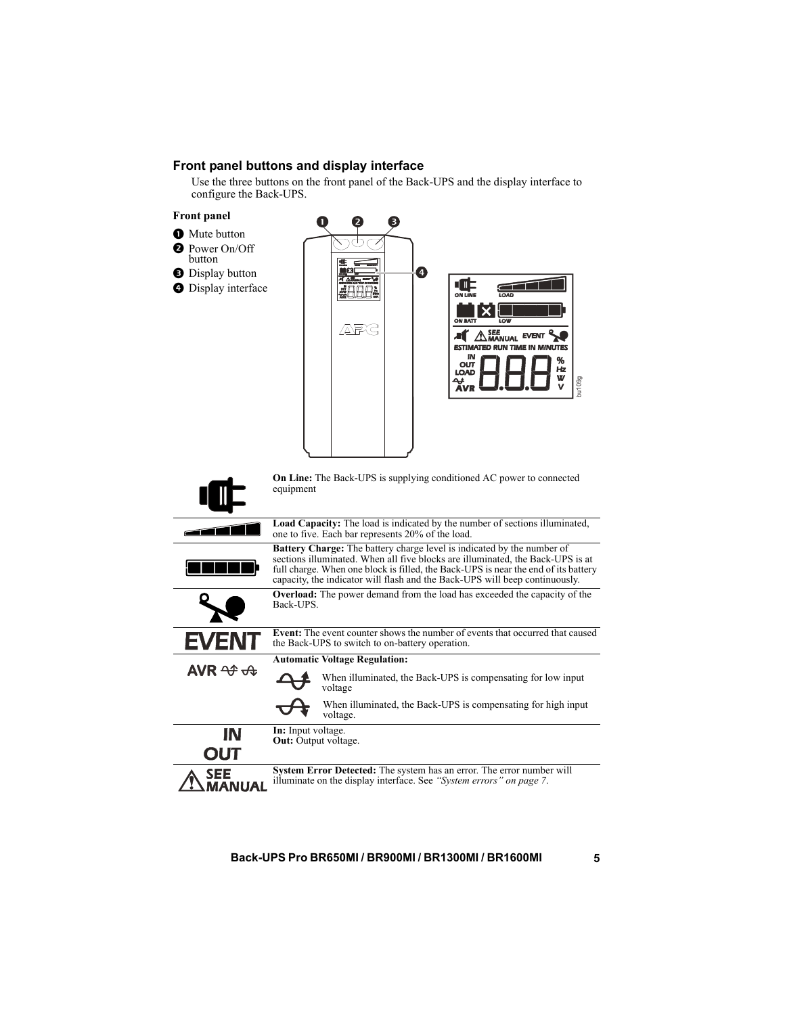### **Front panel buttons and display interface**

Use the three buttons on the front panel of the Back-UPS and the display interface to configure the Back-UPS.



- **O** Mute button
- **Q** Power On/Off
- button
- **O** Display button
- **O** Display interface



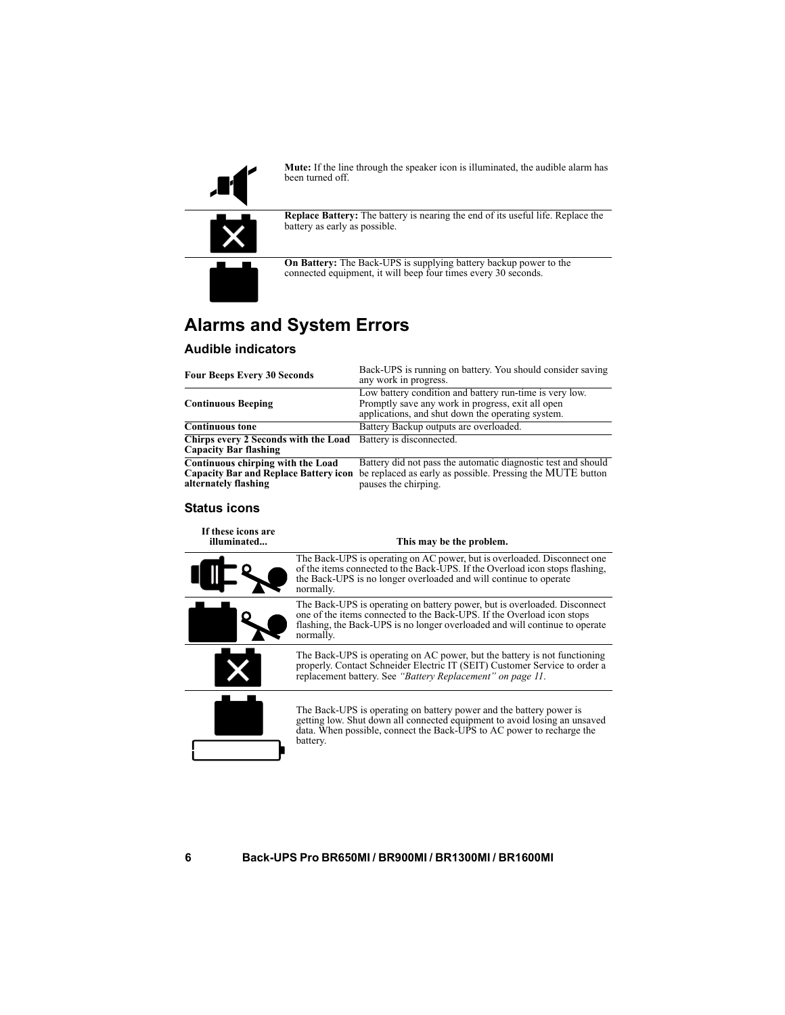

**Mute:** If the line through the speaker icon is illuminated, the audible alarm has been turned off.



**Replace Battery:** The battery is nearing the end of its useful life. Replace the battery as early as possible.

**On Battery:** The Back-UPS is supplying battery backup power to the connected equipment, it will beep four times every 30 seconds.

# **Alarms and System Errors**

### **Audible indicators**

| <b>Four Beeps Every 30 Seconds</b>                                                                        | Back-UPS is running on battery. You should consider saving<br>any work in progress.                                                                               |  |  |  |
|-----------------------------------------------------------------------------------------------------------|-------------------------------------------------------------------------------------------------------------------------------------------------------------------|--|--|--|
| <b>Continuous Beeping</b>                                                                                 | Low battery condition and battery run-time is very low.<br>Promptly save any work in progress, exit all open<br>applications, and shut down the operating system. |  |  |  |
| <b>Continuous tone</b>                                                                                    | Battery Backup outputs are overloaded.                                                                                                                            |  |  |  |
| Chirps every 2 Seconds with the Load<br><b>Capacity Bar flashing</b>                                      | Battery is disconnected.                                                                                                                                          |  |  |  |
| Continuous chirping with the Load<br><b>Capacity Bar and Replace Battery icon</b><br>alternately flashing | Battery did not pass the automatic diagnostic test and should<br>be replaced as early as possible. Pressing the MUTE button<br>pauses the chirping.               |  |  |  |

#### **Status icons**

| If these icons are<br>illuminated | This may be the problem.                                                                                                                                                                                                                        |  |  |  |
|-----------------------------------|-------------------------------------------------------------------------------------------------------------------------------------------------------------------------------------------------------------------------------------------------|--|--|--|
|                                   | The Back-UPS is operating on AC power, but is overloaded. Disconnect one<br>of the items connected to the Back-UPS. If the Overload icon stops flashing,<br>the Back-UPS is no longer overloaded and will continue to operate<br>normally.      |  |  |  |
|                                   | The Back-UPS is operating on battery power, but is overloaded. Disconnect<br>one of the items connected to the Back-UPS. If the Overload icon stops<br>flashing, the Back-UPS is no longer overloaded and will continue to operate<br>normally. |  |  |  |
|                                   | The Back-UPS is operating on AC power, but the battery is not functioning<br>properly. Contact Schneider Electric IT (SEIT) Customer Service to order a<br>replacement battery. See "Battery Replacement" on page 11.                           |  |  |  |
|                                   | The Back-UPS is operating on battery power and the battery power is<br>getting low. Shut down all connected equipment to avoid losing an unsaved<br>data. When possible, connect the Back-UPS to AC power to recharge the<br>battery.           |  |  |  |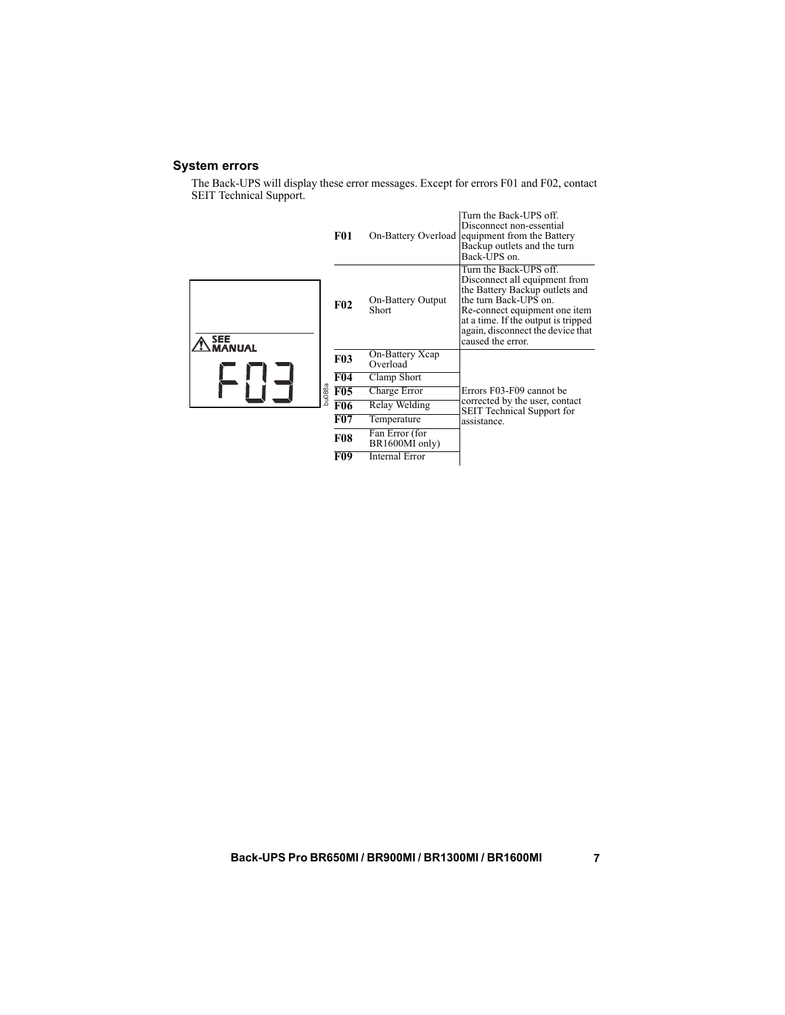### <span id="page-6-0"></span>**System errors**

The Back-UPS will display these error messages. Except for errors F01 and F02, contact SEIT Technical Support.

|               |        | <b>F01</b> |                                   | Turn the Back-UPS off.<br>Disconnect non-essential<br>On-Battery Overload equipment from the Battery<br>Backup outlets and the turn<br>Back-UPS on.                                                                                                  |
|---------------|--------|------------|-----------------------------------|------------------------------------------------------------------------------------------------------------------------------------------------------------------------------------------------------------------------------------------------------|
| SEE<br>MANUAL |        | F02        | <b>On-Battery Output</b><br>Short | Turn the Back-UPS off.<br>Disconnect all equipment from<br>the Battery Backup outlets and<br>the turn Back-UPS on.<br>Re-connect equipment one item<br>at a time. If the output is tripped<br>again, disconnect the device that<br>caused the error. |
|               |        | <b>F03</b> | On-Battery Xcap<br>Overload       |                                                                                                                                                                                                                                                      |
|               |        | F04        | Clamp Short                       |                                                                                                                                                                                                                                                      |
|               | hu088a | F05        | Charge Error                      | Errors F03-F09 cannot be                                                                                                                                                                                                                             |
|               |        | F06        | Relay Welding                     | corrected by the user, contact<br><b>SEIT Technical Support for</b>                                                                                                                                                                                  |
|               |        | F07        | Temperature                       | assistance.                                                                                                                                                                                                                                          |
|               |        | <b>F08</b> | Fan Error (for<br>BR1600MI only)  |                                                                                                                                                                                                                                                      |
|               |        | F09        | <b>Internal Error</b>             |                                                                                                                                                                                                                                                      |
|               |        |            |                                   |                                                                                                                                                                                                                                                      |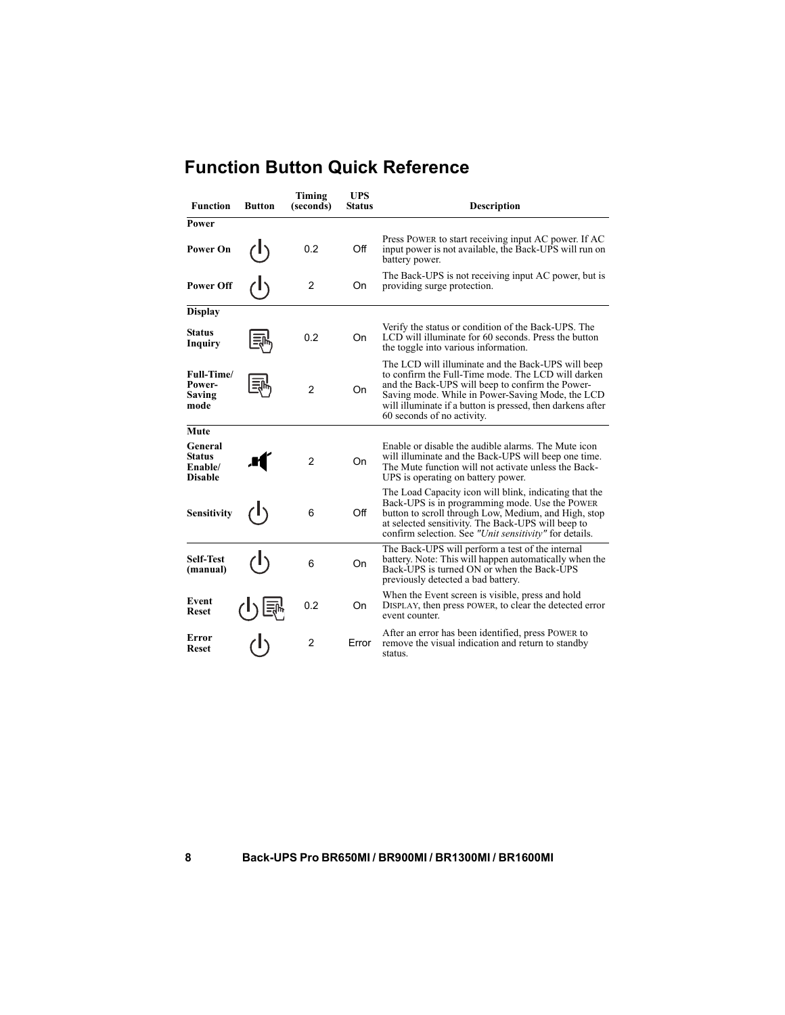| <b>Function</b>                                       | <b>Button</b> | Timing<br>(seconds)  | <b>UPS</b><br><b>Status</b> | <b>Description</b>                                                                                                                                                                                                                                                                                           |  |
|-------------------------------------------------------|---------------|----------------------|-----------------------------|--------------------------------------------------------------------------------------------------------------------------------------------------------------------------------------------------------------------------------------------------------------------------------------------------------------|--|
| Power                                                 |               |                      |                             |                                                                                                                                                                                                                                                                                                              |  |
| <b>Power On</b>                                       |               | 0.2                  | Off                         | Press POWER to start receiving input AC power. If AC<br>input power is not available, the Back-UPS will run on<br>battery power.                                                                                                                                                                             |  |
| <b>Power Off</b>                                      |               | $\overline{2}$       | On                          | The Back-UPS is not receiving input AC power, but is<br>providing surge protection.                                                                                                                                                                                                                          |  |
| <b>Display</b>                                        |               |                      |                             |                                                                                                                                                                                                                                                                                                              |  |
| <b>Status</b><br>Inquiry                              |               | 0.2                  | On                          | Verify the status or condition of the Back-UPS. The<br>LCD will illuminate for 60 seconds. Press the button<br>the toggle into various information.                                                                                                                                                          |  |
| Full-Time/<br>Power-<br>Saving<br>mode                |               | $\overline{2}$<br>On |                             | The LCD will illuminate and the Back-UPS will beep<br>to confirm the Full-Time mode. The LCD will darken<br>and the Back-UPS will beep to confirm the Power-<br>Saving mode. While in Power-Saving Mode, the LCD<br>will illuminate if a button is pressed, then darkens after<br>60 seconds of no activity. |  |
| Mute                                                  |               |                      |                             |                                                                                                                                                                                                                                                                                                              |  |
| General<br><b>Status</b><br>Enable/<br><b>Disable</b> |               | 2                    | On                          | Enable or disable the audible alarms. The Mute icon<br>will illuminate and the Back-UPS will beep one time.<br>The Mute function will not activate unless the Back-<br>UPS is operating on battery power.                                                                                                    |  |
| <b>Sensitivity</b>                                    |               | 6                    | Off                         | The Load Capacity icon will blink, indicating that the<br>Back-UPS is in programming mode. Use the POWER<br>button to scroll through Low, Medium, and High, stop<br>at selected sensitivity. The Back-UPS will beep to<br>confirm selection. See "Unit sensitivity" for details.                             |  |
| <b>Self-Test</b><br>(manual)                          |               | 6                    | <b>On</b>                   | The Back-UPS will perform a test of the internal<br>battery. Note: This will happen automatically when the<br>Back-UPS is turned ON or when the Back-UPS<br>previously detected a bad battery.                                                                                                               |  |
| Event<br><b>Reset</b>                                 |               | 0.2                  | On                          | When the Event screen is visible, press and hold<br>DISPLAY, then press POWER, to clear the detected error<br>event counter.                                                                                                                                                                                 |  |
| Error<br><b>Reset</b>                                 |               | $\overline{2}$       | Error                       | After an error has been identified, press POWER to<br>remove the visual indication and return to standby<br>status.                                                                                                                                                                                          |  |

# **Function Button Quick Reference**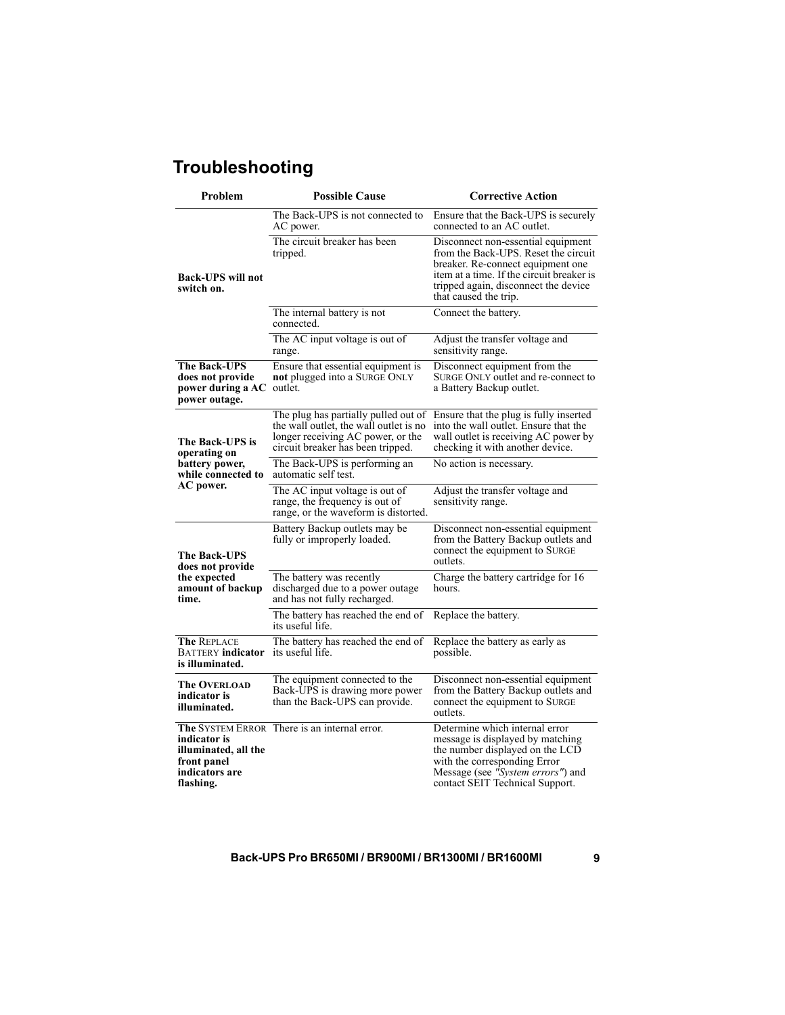# **Troubleshooting**

| Problem                                                                            | <b>Possible Cause</b>                                                                                                                                    | <b>Corrective Action</b>                                                                                                                                                                                                      |  |  |
|------------------------------------------------------------------------------------|----------------------------------------------------------------------------------------------------------------------------------------------------------|-------------------------------------------------------------------------------------------------------------------------------------------------------------------------------------------------------------------------------|--|--|
|                                                                                    | The Back-UPS is not connected to<br>AC power.                                                                                                            | Ensure that the Back-UPS is securely<br>connected to an AC outlet.                                                                                                                                                            |  |  |
| <b>Back-UPS will not</b><br>switch on.                                             | The circuit breaker has been<br>tripped.                                                                                                                 | Disconnect non-essential equipment<br>from the Back-UPS. Reset the circuit<br>breaker. Re-connect equipment one<br>item at a time. If the circuit breaker is<br>tripped again, disconnect the device<br>that caused the trip. |  |  |
|                                                                                    | The internal battery is not<br>connected.                                                                                                                | Connect the battery.                                                                                                                                                                                                          |  |  |
|                                                                                    | The AC input voltage is out of<br>range.                                                                                                                 | Adjust the transfer voltage and<br>sensitivity range.                                                                                                                                                                         |  |  |
| <b>The Back-UPS</b><br>does not provide<br>power during a AC<br>power outage.      | Ensure that essential equipment is<br>not plugged into a SURGE ONLY<br>outlet.                                                                           | Disconnect equipment from the<br>SURGE ONLY outlet and re-connect to<br>a Battery Backup outlet.                                                                                                                              |  |  |
| The Back-UPS is<br>operating on                                                    | The plug has partially pulled out of<br>the wall outlet, the wall outlet is no<br>longer receiving AC power, or the<br>circuit breaker has been tripped. | Ensure that the plug is fully inserted<br>into the wall outlet. Ensure that the<br>wall outlet is receiving AC power by<br>checking it with another device.                                                                   |  |  |
| battery power,<br>while connected to                                               | The Back-UPS is performing an<br>automatic self test.                                                                                                    | No action is necessary.                                                                                                                                                                                                       |  |  |
| AC power.                                                                          | The AC input voltage is out of<br>range, the frequency is out of<br>range, or the waveform is distorted.                                                 | Adjust the transfer voltage and<br>sensitivity range.                                                                                                                                                                         |  |  |
| <b>The Back-UPS</b><br>does not provide                                            | Battery Backup outlets may be<br>fully or improperly loaded.                                                                                             | Disconnect non-essential equipment<br>from the Battery Backup outlets and<br>connect the equipment to SURGE<br>outlets.                                                                                                       |  |  |
| the expected<br>amount of backup<br>time.                                          | The battery was recently<br>discharged due to a power outage<br>and has not fully recharged.                                                             | Charge the battery cartridge for 16<br>hours.                                                                                                                                                                                 |  |  |
|                                                                                    | The battery has reached the end of<br>its useful life.                                                                                                   | Replace the battery.                                                                                                                                                                                                          |  |  |
| <b>The REPLACE</b><br><b>BATTERY</b> indicator<br>is illuminated.                  | The battery has reached the end of<br>its useful life.                                                                                                   | Replace the battery as early as<br>possible.                                                                                                                                                                                  |  |  |
| <b>The OVERLOAD</b><br>indicator is<br>illuminated.                                | The equipment connected to the<br>Back-UPS is drawing more power<br>than the Back-UPS can provide.                                                       | Disconnect non-essential equipment<br>from the Battery Backup outlets and<br>connect the equipment to SURGE<br>outlets.                                                                                                       |  |  |
| indicator is<br>illuminated, all the<br>front panel<br>indicators are<br>flashing. | <b>The SYSTEM ERROR</b> There is an internal error.                                                                                                      | Determine which internal error<br>message is displayed by matching<br>the number displayed on the LCD<br>with the corresponding Error<br>Message (see "System errors") and<br>contact SEIT Technical Support.                 |  |  |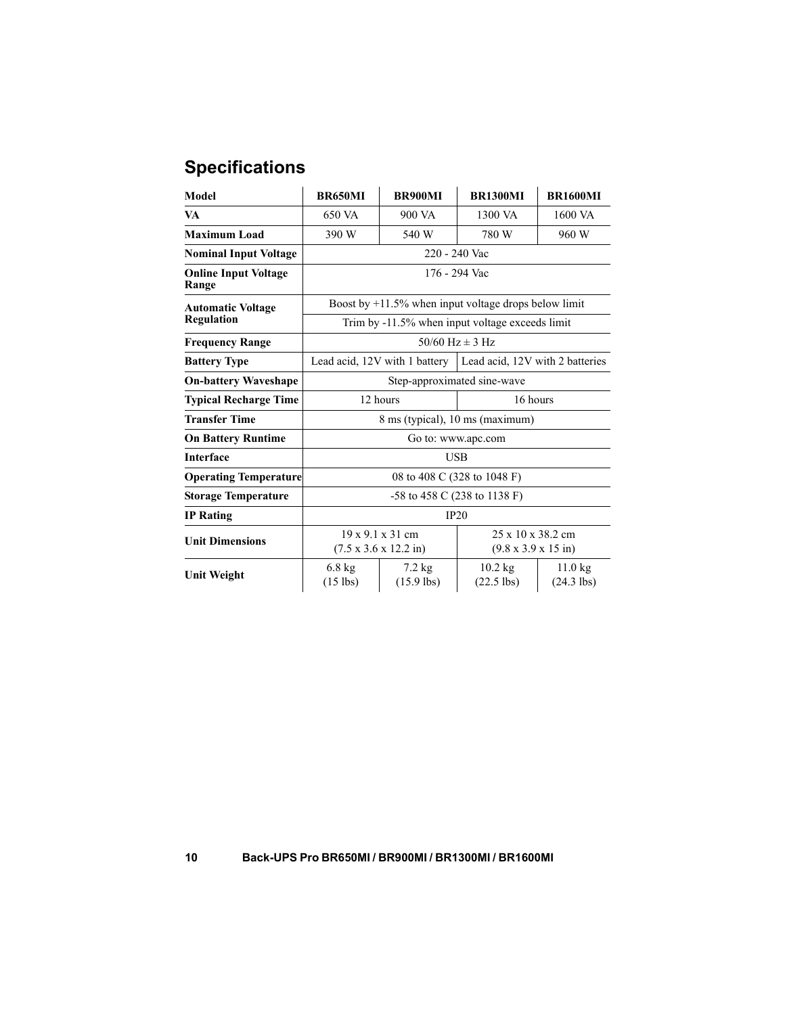# **Specifications**

| Model                                | <b>BR650MI</b>                                          | <b>BR900MI</b>                                                            | <b>BR1300MI</b>                                                          | <b>BR1600MI</b>           |  |  |
|--------------------------------------|---------------------------------------------------------|---------------------------------------------------------------------------|--------------------------------------------------------------------------|---------------------------|--|--|
| VA                                   | 650 VA                                                  | 900 VA                                                                    | 1300 VA                                                                  | 1600 VA                   |  |  |
| <b>Maximum Load</b>                  | 390 W                                                   | 540 W                                                                     | 780 W                                                                    | 960 W                     |  |  |
| <b>Nominal Input Voltage</b>         | 220 - 240 Vac                                           |                                                                           |                                                                          |                           |  |  |
| <b>Online Input Voltage</b><br>Range | 176 - 294 Vac                                           |                                                                           |                                                                          |                           |  |  |
| <b>Automatic Voltage</b>             | Boost by $+11.5\%$ when input voltage drops below limit |                                                                           |                                                                          |                           |  |  |
| Regulation                           | Trim by -11.5% when input voltage exceeds limit         |                                                                           |                                                                          |                           |  |  |
| <b>Frequency Range</b>               | $50/60$ Hz $\pm$ 3 Hz                                   |                                                                           |                                                                          |                           |  |  |
| <b>Battery Type</b>                  |                                                         | Lead acid, 12V with 1 battery                                             | Lead acid, 12V with 2 batteries                                          |                           |  |  |
| <b>On-battery Waveshape</b>          | Step-approximated sine-wave                             |                                                                           |                                                                          |                           |  |  |
| <b>Typical Recharge Time</b>         | 12 hours<br>16 hours                                    |                                                                           |                                                                          |                           |  |  |
| <b>Transfer Time</b>                 | 8 ms (typical), 10 ms (maximum)                         |                                                                           |                                                                          |                           |  |  |
| <b>On Battery Runtime</b>            | Go to: www.apc.com                                      |                                                                           |                                                                          |                           |  |  |
| <b>Interface</b>                     | <b>USB</b>                                              |                                                                           |                                                                          |                           |  |  |
| <b>Operating Temperature</b>         | 08 to 408 C (328 to 1048 F)                             |                                                                           |                                                                          |                           |  |  |
| <b>Storage Temperature</b>           | $-58$ to 458 C (238 to 1138 F)                          |                                                                           |                                                                          |                           |  |  |
| <b>IP</b> Rating                     | IP20                                                    |                                                                           |                                                                          |                           |  |  |
| <b>Unit Dimensions</b>               |                                                         | $19 \times 9.1 \times 31$ cm<br>$(7.5 \times 3.6 \times 12.2 \text{ in})$ | $25 \times 10 \times 38.2$ cm<br>$(9.8 \times 3.9 \times 15 \text{ in})$ |                           |  |  |
| <b>Unit Weight</b>                   | $6.8 \text{ kg}$<br>$(15$ lbs)                          | $7.2 \text{ kg}$<br>$(15.9$ lbs)                                          | $10.2$ kg<br>$(22.5$ lbs)                                                | $11.0$ kg<br>$(24.3$ lbs) |  |  |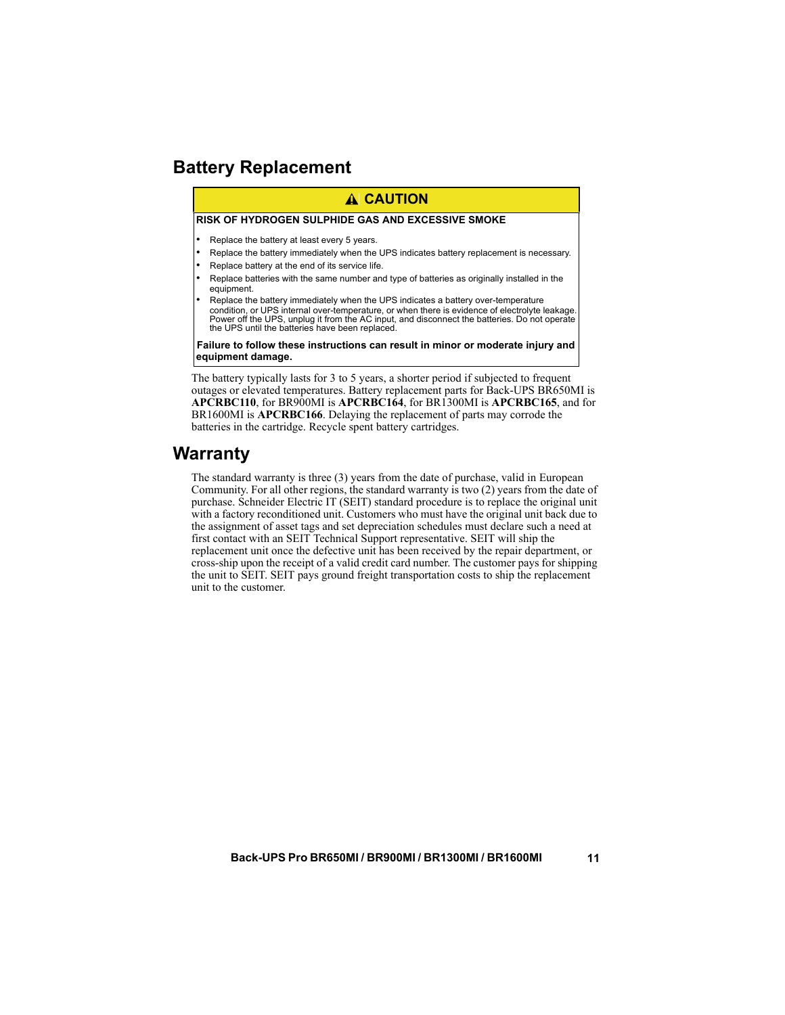# <span id="page-10-0"></span>**Battery Replacement**

### **A CAUTION**

#### **RISK OF HYDROGEN SULPHIDE GAS AND EXCESSIVE SMOKE**

- Replace the battery at least every 5 years.
- Replace the battery immediately when the UPS indicates battery replacement is necessary.
- Replace battery at the end of its service life.
- Replace batteries with the same number and type of batteries as originally installed in the equipment.
- Replace the battery immediately when the UPS indicates a battery over-temperature condition, or UPS internal over-temperature, or when there is evidence of electrolyte leakage. Power off the UPS, unplug it from the AC input, and disconnect the batteries. Do not operate the UPS until the batteries have been replaced.

**Failure to follow these instructions can result in minor or moderate injury and equipment damage.**

The battery typically lasts for 3 to 5 years, a shorter period if subjected to frequent outages or elevated temperatures. Battery replacement parts for Back-UPS BR650MI is **APCRBC110**, for BR900MI is **APCRBC164**, for BR1300MI is **APCRBC165**, and for BR1600MI is **APCRBC166**. Delaying the replacement of parts may corrode the batteries in the cartridge. Recycle spent battery cartridges.

### **Warranty**

The standard warranty is three (3) years from the date of purchase, valid in European Community. For all other regions, the standard warranty is two (2) years from the date of purchase. Schneider Electric IT (SEIT) standard procedure is to replace the original unit with a factory reconditioned unit. Customers who must have the original unit back due to the assignment of asset tags and set depreciation schedules must declare such a need at first contact with an SEIT Technical Support representative. SEIT will ship the replacement unit once the defective unit has been received by the repair department, or cross-ship upon the receipt of a valid credit card number. The customer pays for shipping the unit to SEIT. SEIT pays ground freight transportation costs to ship the replacement unit to the customer.